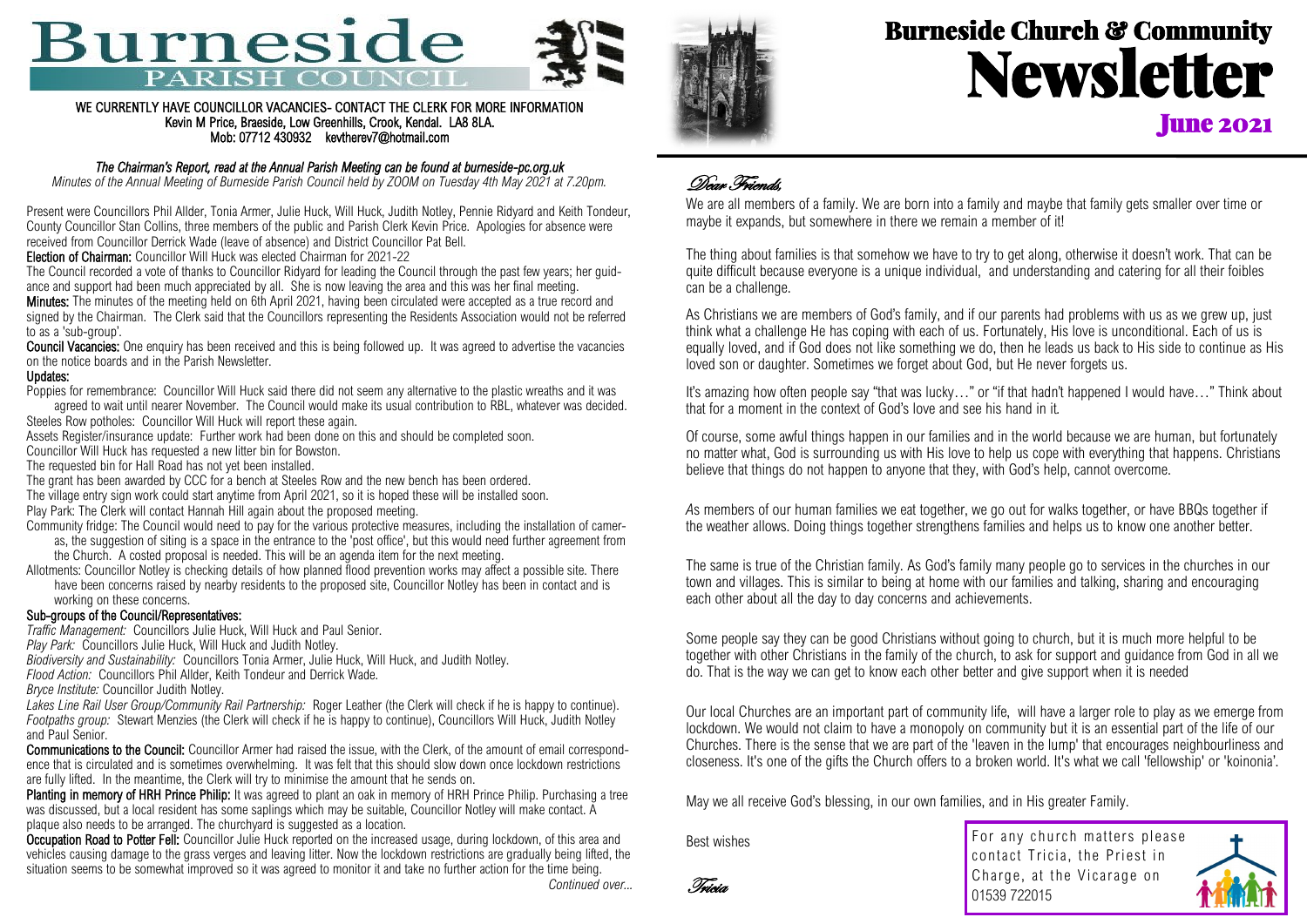# **Burneside** PARISH CO



#### WE CURRENTLY HAVE COUNCILLOR VACANCIES- CONTACT THE CLERK FOR MORE INFORMATION Kevin M Price, Braeside, Low Greenhills, Crook, Kendal. LA8 8LA. Mob: 07712 430932 kevtherev7@hotmail.com

#### *The Chairman's Report, read at the Annual Parish Meeting can be found at burneside-pc.org.uk*

*Minutes of the Annual Meeting of Burneside Parish Council held by ZOOM on Tuesday 4th May 2021 at 7.20pm.*

Present were Councillors Phil Allder, Tonia Armer, Julie Huck, Will Huck, Judith Notley, Pennie Ridyard and Keith Tondeur, County Councillor Stan Collins, three members of the public and Parish Clerk Kevin Price. Apologies for absence were received from Councillor Derrick Wade (leave of absence) and District Councillor Pat Bell.

Election of Chairman: Councillor Will Huck was elected Chairman for 2021-22

The Council recorded a vote of thanks to Councillor Ridyard for leading the Council through the past few years; her guidance and support had been much appreciated by all. She is now leaving the area and this was her final meeting. Minutes: The minutes of the meeting held on 6th April 2021, having been circulated were accepted as a true record and

signed by the Chairman. The Clerk said that the Councillors representing the Residents Association would not be referred to as a 'sub-group'.

Council Vacancies: One enquiry has been received and this is being followed up. It was agreed to advertise the vacancies on the notice boards and in the Parish Newsletter.

#### Updates:

Poppies for remembrance: Councillor Will Huck said there did not seem any alternative to the plastic wreaths and it was agreed to wait until nearer November. The Council would make its usual contribution to RBL, whatever was decided.

Steeles Row potholes: Councillor Will Huck will report these again.

Assets Register/insurance update: Further work had been done on this and should be completed soon.

Councillor Will Huck has requested a new litter bin for Bowston.

The requested bin for Hall Road has not yet been installed.

The grant has been awarded by CCC for a bench at Steeles Row and the new bench has been ordered.

The village entry sign work could start anytime from April 2021, so it is hoped these will be installed soon.

Play Park: The Clerk will contact Hannah Hill again about the proposed meeting.

Community fridge: The Council would need to pay for the various protective measures, including the installation of cameras, the suggestion of siting is a space in the entrance to the 'post office', but this would need further agreement from the Church. A costed proposal is needed. This will be an agenda item for the next meeting.

Allotments: Councillor Notley is checking details of how planned flood prevention works may affect a possible site. There have been concerns raised by nearby residents to the proposed site, Councillor Notley has been in contact and is working on these concerns.

#### Sub-groups of the Council/Representatives:

*Traffic Management:* Councillors Julie Huck, Will Huck and Paul Senior.

*Play Park:* Councillors Julie Huck, Will Huck and Judith Notley.

*Biodiversity and Sustainability:* Councillors Tonia Armer, Julie Huck, Will Huck, and Judith Notley.

*Flood Action:* Councillors Phil Allder, Keith Tondeur and Derrick Wade.

*Bryce Institute:* Councillor Judith Notley.

*Lakes Line Rail User Group/Community Rail Partnership:* Roger Leather (the Clerk will check if he is happy to continue). *Footpaths group:* Stewart Menzies (the Clerk will check if he is happy to continue), Councillors Will Huck, Judith Notley and Paul Senior.

Communications to the Council: Councillor Armer had raised the issue, with the Clerk, of the amount of email correspondence that is circulated and is sometimes overwhelming. It was felt that this should slow down once lockdown restrictions are fully lifted. In the meantime, the Clerk will try to minimise the amount that he sends on.

Planting in memory of HRH Prince Philip: It was agreed to plant an oak in memory of HRH Prince Philip. Purchasing a tree was discussed, but a local resident has some saplings which may be suitable, Councillor Notley will make contact. A plaque also needs to be arranged. The churchyard is suggested as a location.

Occupation Road to Potter Fell: Councillor Julie Huck reported on the increased usage, during lockdown, of this area and vehicles causing damage to the grass verges and leaving litter. Now the lockdown restrictions are gradually being lifted, the situation seems to be somewhat improved so it was agreed to monitor it and take no further action for the time being.



*Continued over...*



## Burneside Church & Community Newsletter **June 2021**

## Dear Friends,

We are all members of a family. We are born into a family and maybe that family gets smaller over time or maybe it expands, but somewhere in there we remain a member of it!

The thing about families is that somehow we have to try to get along, otherwise it doesn't work. That can be quite difficult because everyone is a unique individual, and understanding and catering for all their foibles can be a challenge.

As Christians we are members of God's family, and if our parents had problems with us as we grew up, just think what a challenge He has coping with each of us. Fortunately, His love is unconditional. Each of us is equally loved, and if God does not like something we do, then he leads us back to His side to continue as His loved son or daughter. Sometimes we forget about God, but He never forgets us.

It's amazing how often people say "that was lucky…" or "if that hadn't happened I would have…" Think about that for a moment in the context of God's love and see his hand in it*.*

Of course, some awful things happen in our families and in the world because we are human, but fortunately no matter what, God is surrounding us with His love to help us cope with everything that happens. Christians believe that things do not happen to anyone that they, with God's help, cannot overcome.

As members of our human families we eat together, we go out for walks together, or have BBQs together if the weather allows. Doing things together strengthens families and helps us to know one another better.

The same is true of the Christian family. As God's family many people go to services in the churches in our town and villages. This is similar to being at home with our families and talking, sharing and encouraging each other about all the day to day concerns and achievements.

Some people say they can be good Christians without going to church, but it is much more helpful to be together with other Christians in the family of the church, to ask for support and guidance from God in all we do. That is the way we can get to know each other better and give support when it is needed

Our local Churches are an important part of community life, will have a larger role to play as we emerge from lockdown. We would not claim to have a monopoly on community but it is an essential part of the life of our Churches. There is the sense that we are part of the 'leaven in the lump' that encourages neighbourliness and closeness. It's one of the gifts the Church offers to a broken world. It's what we call 'fellowship' or 'koinonia'.

May we all receive God's blessing, in our own families, and in His greater Family.

Best wishes

Tricia

For any church matters please contact Tricia, the Priest in Charge, at the Vicarage on 01539 722015